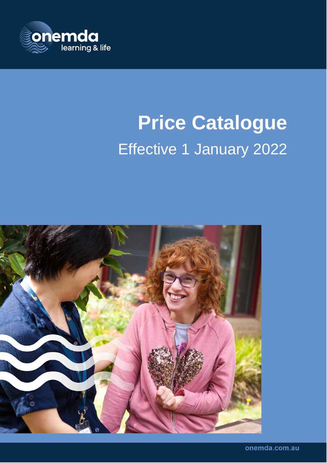

# **Price Catalogue** Effective 1 January 2022

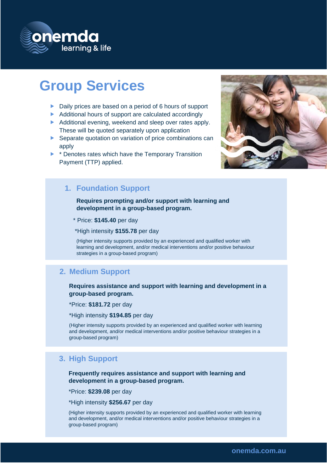

# **Group Services**

- ▶ Daily prices are based on a period of 6 hours of support
- Additional hours of support are calculated accordingly
- Additional evening, weekend and sleep over rates apply. These will be quoted separately upon application
- Separate quotation on variation of price combinations can apply
- **E** \* Denotes rates which have the Temporary Transition Payment (TTP) applied.



### **1. Foundation Support**

**Requires prompting and/or support with learning and development in a group-based program.**

\* Price: **\$145.40** per day

\*High intensity **\$155.78** per day

(Higher intensity supports provided by an experienced and qualified worker with learning and development, and/or medical interventions and/or positive behaviour strategies in a group-based program)

#### **2. Medium Support**

**Requires assistance and support with learning and development in a group-based program.**

\*Price: **\$181.72** per day

\*High intensity **\$194.85** per day

(Higher intensity supports provided by an experienced and qualified worker with learning and development, and/or medical interventions and/or positive behaviour strategies in a group-based program)

### **3. High Support**

**Frequently requires assistance and support with learning and development in a group-based program.**

\*Price: **\$239.08** per day

\*High intensity **\$256.67** per day

(Higher intensity supports provided by an experienced and qualified worker with learning and development, and/or medical interventions and/or positive behaviour strategies in a group-based program)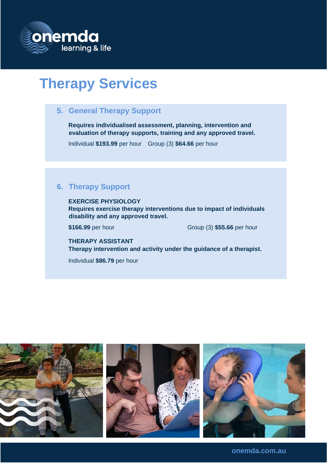

# **Therapy Services**

### **5. General Therapy Support**

**Requires individualised assessment, planning, intervention and evaluation of therapy supports, training and any approved travel.**

Individual **\$193.99** per hour Group (3) **\$64.66** per hour

## **6. Therapy Support**

**EXERCISE PHYSIOLOGY Requires exercise therapy interventions due to impact of individuals disability and any approved travel.**

**\$166.99** per hour Group (3) **\$55.66** per hour

**THERAPY ASSISTANT Therapy intervention and activity under the guidance of a therapist.**

Individual **\$86.79** per hour



**onemda.com.au**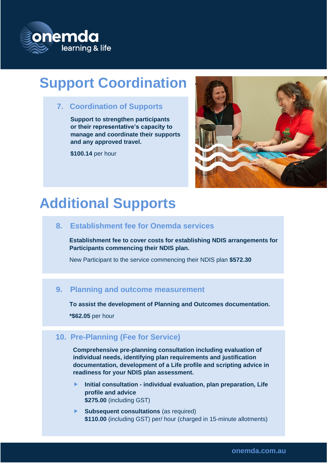

# **Support Coordination**

**7. Coordination of Supports**

**Support to strengthen participants or their representative's capacity to manage and coordinate their supports and any approved travel.**

**\$100.14** per hour



# **Additional Supports**

### **8. Establishment fee for Onemda services**

**Establishment fee to cover costs for establishing NDIS arrangements for Participants commencing their NDIS plan.** 

New Participant to the service commencing their NDIS plan **\$572.30**

### **9. Planning and outcome measurement**

**To assist the development of Planning and Outcomes documentation.**

**\*\$62.05** per hour

### **10. Pre-Planning (Fee for Service)**

**Comprehensive pre-planning consultation including evaluation of individual needs, identifying plan requirements and justification documentation, development of a Life profile and scripting advice in readiness for your NDIS plan assessment.** 

- **Initial consultation - individual evaluation, plan preparation, Life profile and advice \$275.00** (including GST)
- **Subsequent consultations** (as required) **\$110.00** (including GST) per/ hour (charged in 15-minute allotments)